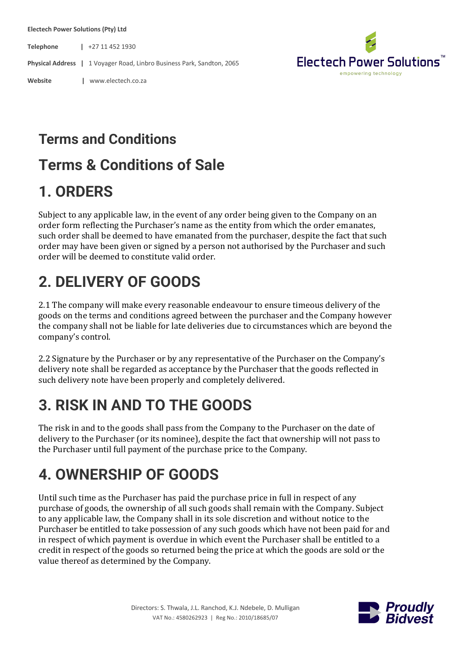**Electech Power Solutions (Pty) Ltd**

**Telephone |** +27 11 452 1930

**Physical Address |** 1 Voyager Road, Linbro Business Park, Sandton, 2065

**Website |** www.electech.co.za



#### **Terms and Conditions**

#### **Terms & Conditions of Sale**

#### **1. ORDERS**

Subject to any applicable law, in the event of any order being given to the Company on an order form reflecting the Purchaser's name as the entity from which the order emanates, such order shall be deemed to have emanated from the purchaser, despite the fact that such order may have been given or signed by a person not authorised by the Purchaser and such order will be deemed to constitute valid order.

### **2. DELIVERY OF GOODS**

2.1 The company will make every reasonable endeavour to ensure timeous delivery of the goods on the terms and conditions agreed between the purchaser and the Company however the company shall not be liable for late deliveries due to circumstances which are beyond the company's control.

2.2 Signature by the Purchaser or by any representative of the Purchaser on the Company's delivery note shall be regarded as acceptance by the Purchaser that the goods reflected in such delivery note have been properly and completely delivered.

### **3. RISK IN AND TO THE GOODS**

The risk in and to the goods shall pass from the Company to the Purchaser on the date of delivery to the Purchaser (or its nominee), despite the fact that ownership will not pass to the Purchaser until full payment of the purchase price to the Company.

### **4. OWNERSHIP OF GOODS**

Until such time as the Purchaser has paid the purchase price in full in respect of any purchase of goods, the ownership of all such goods shall remain with the Company. Subject to any applicable law, the Company shall in its sole discretion and without notice to the Purchaser be entitled to take possession of any such goods which have not been paid for and in respect of which payment is overdue in which event the Purchaser shall be entitled to a credit in respect of the goods so returned being the price at which the goods are sold or the value thereof as determined by the Company.

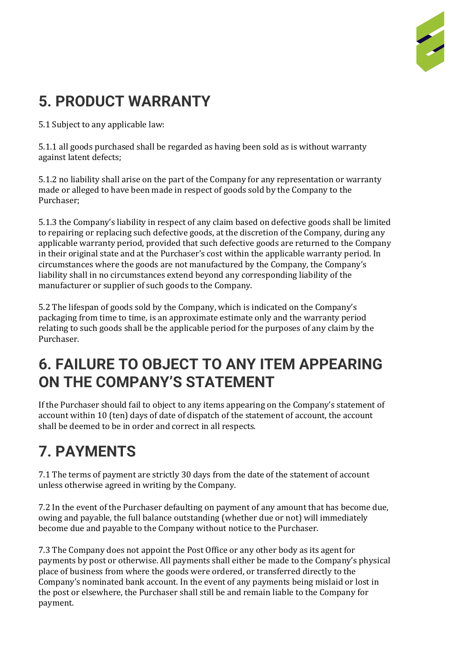

## **5. PRODUCT WARRANTY**

5.1 Subject to any applicable law:

5.1.1 all goods purchased shall be regarded as having been sold as is without warranty against latent defects;

5.1.2 no liability shall arise on the part of the Company for any representation or warranty made or alleged to have been made in respect of goods sold by the Company to the Purchaser;

5.1.3 the Company's liability in respect of any claim based on defective goods shall be limited to repairing or replacing such defective goods, at the discretion of the Company, during any applicable warranty period, provided that such defective goods are returned to the Company in their original state and at the Purchaser's cost within the applicable warranty period. In circumstances where the goods are not manufactured by the Company, the Company's liability shall in no circumstances extend beyond any corresponding liability of the manufacturer or supplier of such goods to the Company.

5.2 The lifespan of goods sold by the Company, which is indicated on the Company's packaging from time to time, is an approximate estimate only and the warranty period relating to such goods shall be the applicable period for the purposes of any claim by the Purchaser.

#### **6. FAILURE TO OBJECT TO ANY ITEM APPEARING ON THE COMPANY'S STATEMENT**

If the Purchaser should fail to object to any items appearing on the Company's statement of account within 10 (ten) days of date of dispatch of the statement of account, the account shall be deemed to be in order and correct in all respects.

# **7. PAYMENTS**

7.1 The terms of payment are strictly 30 days from the date of the statement of account unless otherwise agreed in writing by the Company.

7.2 In the event of the Purchaser defaulting on payment of any amount that has become due, owing and payable, the full balance outstanding (whether due or not) will immediately become due and payable to the Company without notice to the Purchaser.

7.3 The Company does not appoint the Post Office or any other body as its agent for payments by post or otherwise. All payments shall either be made to the Company's physical place of business from where the goods were ordered, or transferred directly to the Company's nominated bank account. In the event of any payments being mislaid or lost in the post or elsewhere, the Purchaser shall still be and remain liable to the Company for payment.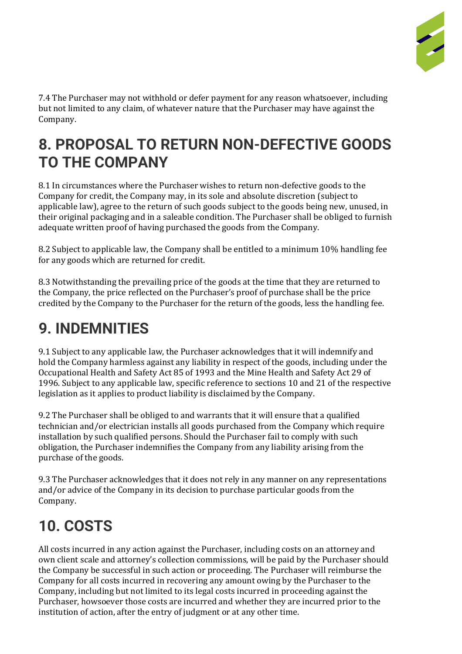

7.4 The Purchaser may not withhold or defer payment for any reason whatsoever, including but not limited to any claim, of whatever nature that the Purchaser may have against the Company.

#### **8. PROPOSAL TO RETURN NON-DEFECTIVE GOODS TO THE COMPANY**

8.1 In circumstances where the Purchaser wishes to return non-defective goods to the Company for credit, the Company may, in its sole and absolute discretion (subject to applicable law), agree to the return of such goods subject to the goods being new, unused, in their original packaging and in a saleable condition. The Purchaser shall be obliged to furnish adequate written proof of having purchased the goods from the Company.

8.2 Subject to applicable law, the Company shall be entitled to a minimum 10% handling fee for any goods which are returned for credit.

8.3 Notwithstanding the prevailing price of the goods at the time that they are returned to the Company, the price reflected on the Purchaser's proof of purchase shall be the price credited by the Company to the Purchaser for the return of the goods, less the handling fee.

### **9. INDEMNITIES**

9.1 Subject to any applicable law, the Purchaser acknowledges that it will indemnify and hold the Company harmless against any liability in respect of the goods, including under the Occupational Health and Safety Act 85 of 1993 and the Mine Health and Safety Act 29 of 1996. Subject to any applicable law, specific reference to sections 10 and 21 of the respective legislation as it applies to product liability is disclaimed by the Company.

9.2 The Purchaser shall be obliged to and warrants that it will ensure that a qualified technician and/or electrician installs all goods purchased from the Company which require installation by such qualified persons. Should the Purchaser fail to comply with such obligation, the Purchaser indemnifies the Company from any liability arising from the purchase of the goods.

9.3 The Purchaser acknowledges that it does not rely in any manner on any representations and/or advice of the Company in its decision to purchase particular goods from the Company.

## **10. COSTS**

All costs incurred in any action against the Purchaser, including costs on an attorney and own client scale and attorney's collection commissions, will be paid by the Purchaser should the Company be successful in such action or proceeding. The Purchaser will reimburse the Company for all costs incurred in recovering any amount owing by the Purchaser to the Company, including but not limited to its legal costs incurred in proceeding against the Purchaser, howsoever those costs are incurred and whether they are incurred prior to the institution of action, after the entry of judgment or at any other time.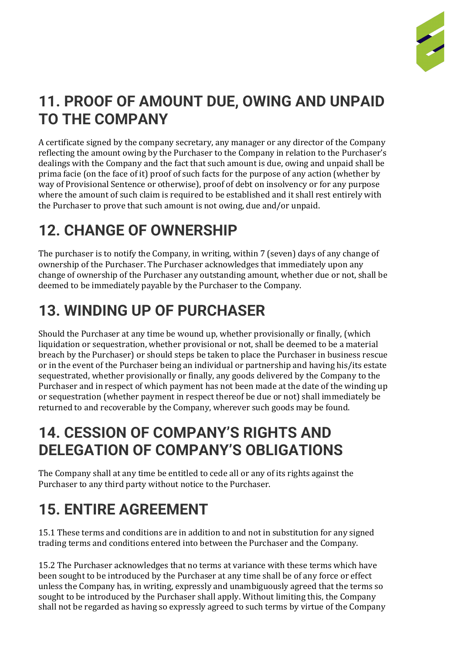

### **11. PROOF OF AMOUNT DUE, OWING AND UNPAID TO THE COMPANY**

A certificate signed by the company secretary, any manager or any director of the Company reflecting the amount owing by the Purchaser to the Company in relation to the Purchaser's dealings with the Company and the fact that such amount is due, owing and unpaid shall be prima facie (on the face of it) proof of such facts for the purpose of any action (whether by way of Provisional Sentence or otherwise), proof of debt on insolvency or for any purpose where the amount of such claim is required to be established and it shall rest entirely with the Purchaser to prove that such amount is not owing, due and/or unpaid.

## **12. CHANGE OF OWNERSHIP**

The purchaser is to notify the Company, in writing, within 7 (seven) days of any change of ownership of the Purchaser. The Purchaser acknowledges that immediately upon any change of ownership of the Purchaser any outstanding amount, whether due or not, shall be deemed to be immediately payable by the Purchaser to the Company.

## **13. WINDING UP OF PURCHASER**

Should the Purchaser at any time be wound up, whether provisionally or finally, (which liquidation or sequestration, whether provisional or not, shall be deemed to be a material breach by the Purchaser) or should steps be taken to place the Purchaser in business rescue or in the event of the Purchaser being an individual or partnership and having his/its estate sequestrated, whether provisionally or finally, any goods delivered by the Company to the Purchaser and in respect of which payment has not been made at the date of the winding up or sequestration (whether payment in respect thereof be due or not) shall immediately be returned to and recoverable by the Company, wherever such goods may be found.

#### **14. CESSION OF COMPANY'S RIGHTS AND DELEGATION OF COMPANY'S OBLIGATIONS**

The Company shall at any time be entitled to cede all or any of its rights against the Purchaser to any third party without notice to the Purchaser.

## **15. ENTIRE AGREEMENT**

15.1 These terms and conditions are in addition to and not in substitution for any signed trading terms and conditions entered into between the Purchaser and the Company.

15.2 The Purchaser acknowledges that no terms at variance with these terms which have been sought to be introduced by the Purchaser at any time shall be of any force or effect unless the Company has, in writing, expressly and unambiguously agreed that the terms so sought to be introduced by the Purchaser shall apply. Without limiting this, the Company shall not be regarded as having so expressly agreed to such terms by virtue of the Company